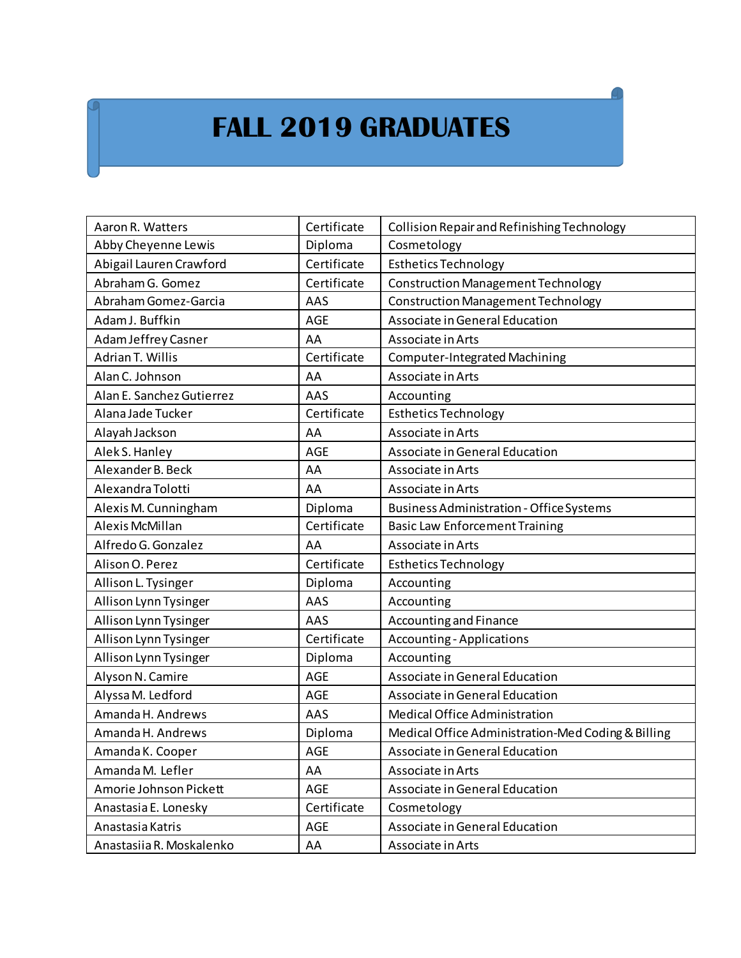## **FALL 2019 GRADUATES**

| Aaron R. Watters          | Certificate | Collision Repair and Refinishing Technology        |
|---------------------------|-------------|----------------------------------------------------|
| Abby Cheyenne Lewis       | Diploma     | Cosmetology                                        |
| Abigail Lauren Crawford   | Certificate | <b>Esthetics Technology</b>                        |
| Abraham G. Gomez          | Certificate | <b>Construction Management Technology</b>          |
| Abraham Gomez-Garcia      | AAS         | <b>Construction Management Technology</b>          |
| Adam J. Buffkin           | <b>AGE</b>  | Associate in General Education                     |
| Adam Jeffrey Casner       | AA          | Associate in Arts                                  |
| Adrian T. Willis          | Certificate | Computer-Integrated Machining                      |
| Alan C. Johnson           | AA          | Associate in Arts                                  |
| Alan E. Sanchez Gutierrez | AAS         | Accounting                                         |
| Alana Jade Tucker         | Certificate | <b>Esthetics Technology</b>                        |
| Alayah Jackson            | AA          | Associate in Arts                                  |
| Alek S. Hanley            | AGE         | Associate in General Education                     |
| Alexander B. Beck         | AA          | Associate in Arts                                  |
| Alexandra Tolotti         | AA          | Associate in Arts                                  |
| Alexis M. Cunningham      | Diploma     | <b>Business Administration - Office Systems</b>    |
| Alexis McMillan           | Certificate | <b>Basic Law Enforcement Training</b>              |
|                           |             |                                                    |
| Alfredo G. Gonzalez       | AA          | Associate in Arts                                  |
| Alison O. Perez           | Certificate | <b>Esthetics Technology</b>                        |
| Allison L. Tysinger       | Diploma     | Accounting                                         |
| Allison Lynn Tysinger     | AAS         | Accounting                                         |
| Allison Lynn Tysinger     | AAS         | Accounting and Finance                             |
| Allison Lynn Tysinger     | Certificate | <b>Accounting - Applications</b>                   |
| Allison Lynn Tysinger     | Diploma     | Accounting                                         |
| Alyson N. Camire          | AGE         | Associate in General Education                     |
| Alyssa M. Ledford         | <b>AGE</b>  | Associate in General Education                     |
| Amanda H. Andrews         | AAS         | Medical Office Administration                      |
| Amanda H. Andrews         | Diploma     | Medical Office Administration-Med Coding & Billing |
| Amanda K. Cooper          | AGE         | Associate in General Education                     |
| Amanda M. Lefler          | AA          | Associate in Arts                                  |
| Amorie Johnson Pickett    | AGE         | Associate in General Education                     |
| Anastasia E. Lonesky      | Certificate | Cosmetology                                        |
| Anastasia Katris          | AGE         | Associate in General Education                     |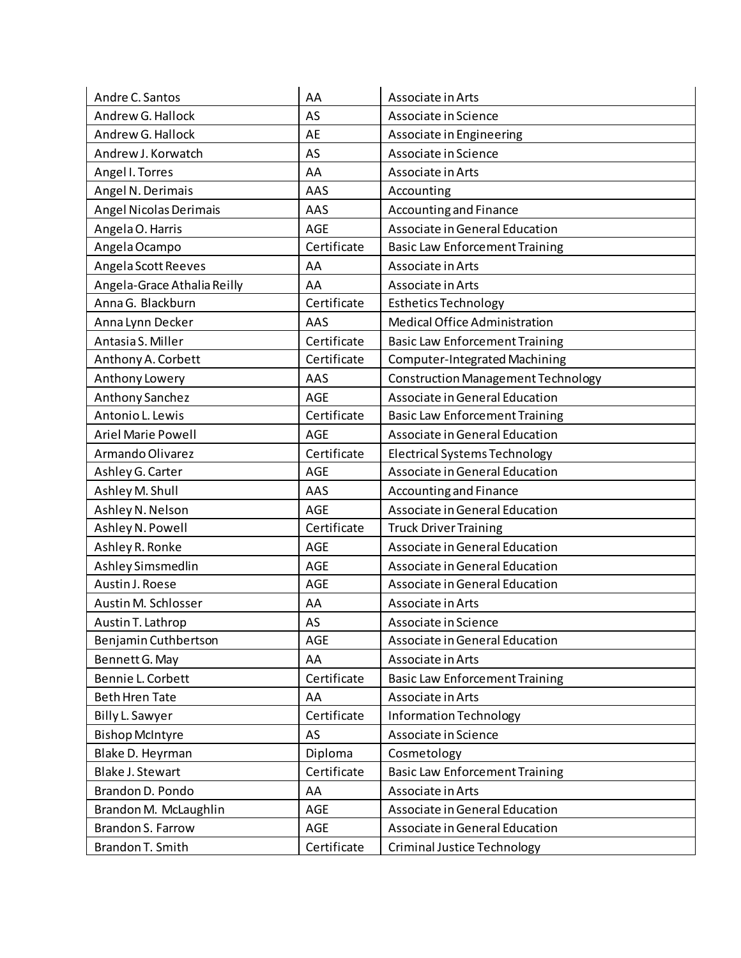| Andre C. Santos             | AA          | Associate in Arts                         |
|-----------------------------|-------------|-------------------------------------------|
| Andrew G. Hallock           | AS          | Associate in Science                      |
| Andrew G. Hallock           | AE          | Associate in Engineering                  |
| Andrew J. Korwatch          | AS          | Associate in Science                      |
| Angel I. Torres             | AA          | Associate in Arts                         |
| Angel N. Derimais           | AAS         | Accounting                                |
| Angel Nicolas Derimais      | AAS         | Accounting and Finance                    |
| Angela O. Harris            | <b>AGE</b>  | Associate in General Education            |
| Angela Ocampo               | Certificate | <b>Basic Law Enforcement Training</b>     |
| Angela Scott Reeves         | AA          | Associate in Arts                         |
| Angela-Grace Athalia Reilly | AA          | Associate in Arts                         |
| Anna G. Blackburn           | Certificate | <b>Esthetics Technology</b>               |
| Anna Lynn Decker            | AAS         | Medical Office Administration             |
| Antasia S. Miller           | Certificate | <b>Basic Law Enforcement Training</b>     |
| Anthony A. Corbett          | Certificate | <b>Computer-Integrated Machining</b>      |
| Anthony Lowery              | AAS         | <b>Construction Management Technology</b> |
| Anthony Sanchez             | AGE         | Associate in General Education            |
| Antonio L. Lewis            | Certificate | <b>Basic Law Enforcement Training</b>     |
| <b>Ariel Marie Powell</b>   | AGE         | Associate in General Education            |
| Armando Olivarez            | Certificate | <b>Electrical Systems Technology</b>      |
| Ashley G. Carter            | <b>AGE</b>  | Associate in General Education            |
| Ashley M. Shull             | AAS         | Accounting and Finance                    |
| Ashley N. Nelson            | <b>AGE</b>  | Associate in General Education            |
| Ashley N. Powell            | Certificate | <b>Truck Driver Training</b>              |
| Ashley R. Ronke             | <b>AGE</b>  | Associate in General Education            |
| Ashley Simsmedlin           | <b>AGE</b>  | Associate in General Education            |
| Austin J. Roese             | AGE         | Associate in General Education            |
| Austin M. Schlosser         | AA          | Associate in Arts                         |
| Austin T. Lathrop           | AS          | Associate in Science                      |
| Benjamin Cuthbertson        | AGE         | Associate in General Education            |
| Bennett G. May              | AA          | Associate in Arts                         |
| Bennie L. Corbett           | Certificate | <b>Basic Law Enforcement Training</b>     |
| <b>Beth Hren Tate</b>       | AA          | Associate in Arts                         |
| Billy L. Sawyer             | Certificate | Information Technology                    |
| <b>Bishop McIntyre</b>      | AS          | Associate in Science                      |
| Blake D. Heyrman            | Diploma     | Cosmetology                               |
| Blake J. Stewart            | Certificate | <b>Basic Law Enforcement Training</b>     |
| Brandon D. Pondo            | AA          | Associate in Arts                         |
| Brandon M. McLaughlin       | AGE         | Associate in General Education            |
| Brandon S. Farrow           | AGE         | Associate in General Education            |
| Brandon T. Smith            | Certificate | Criminal Justice Technology               |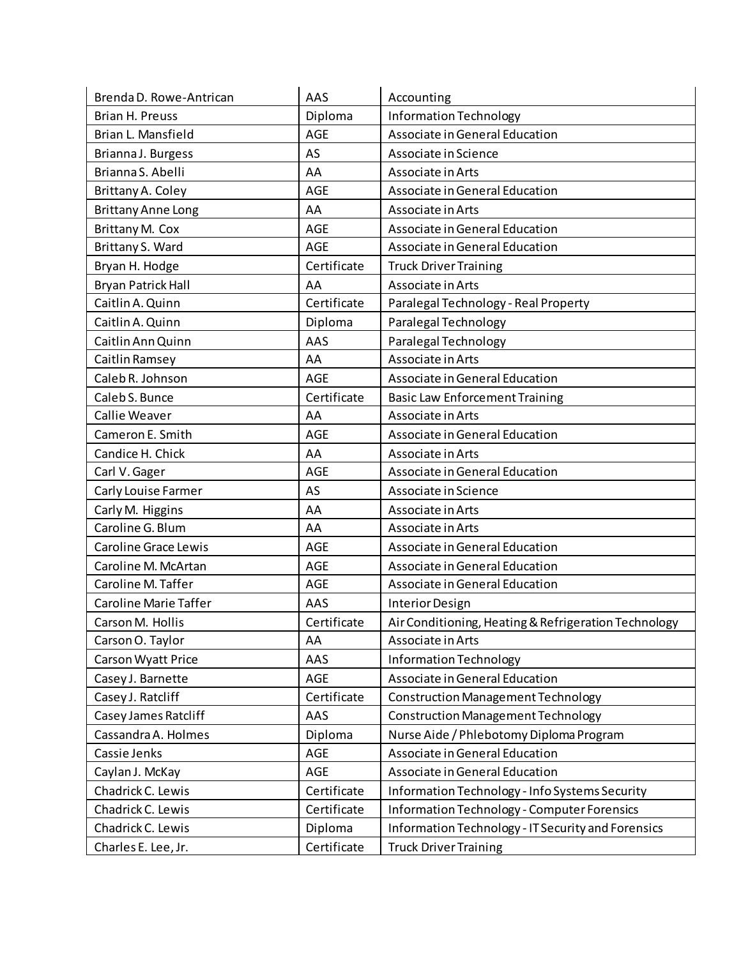| Brenda D. Rowe-Antrican      | AAS         | Accounting                                           |
|------------------------------|-------------|------------------------------------------------------|
| Brian H. Preuss              | Diploma     | Information Technology                               |
| Brian L. Mansfield           | <b>AGE</b>  | Associate in General Education                       |
| Brianna J. Burgess           | AS          | Associate in Science                                 |
| Brianna S. Abelli            | AA          | Associate in Arts                                    |
| Brittany A. Coley            | <b>AGE</b>  | Associate in General Education                       |
| <b>Brittany Anne Long</b>    | AA          | Associate in Arts                                    |
| Brittany M. Cox              | <b>AGE</b>  | Associate in General Education                       |
| Brittany S. Ward             | <b>AGE</b>  | Associate in General Education                       |
| Bryan H. Hodge               | Certificate | <b>Truck Driver Training</b>                         |
| <b>Bryan Patrick Hall</b>    | AA          | Associate in Arts                                    |
| Caitlin A. Quinn             | Certificate | Paralegal Technology - Real Property                 |
| Caitlin A. Quinn             | Diploma     | Paralegal Technology                                 |
| Caitlin Ann Quinn            | AAS         | Paralegal Technology                                 |
| Caitlin Ramsey               | AA          | Associate in Arts                                    |
| Caleb R. Johnson             | <b>AGE</b>  | Associate in General Education                       |
| Caleb S. Bunce               | Certificate | <b>Basic Law Enforcement Training</b>                |
| Callie Weaver                | AA          | Associate in Arts                                    |
| Cameron E. Smith             | <b>AGE</b>  | Associate in General Education                       |
| Candice H. Chick             | AA          | Associate in Arts                                    |
| Carl V. Gager                | <b>AGE</b>  | Associate in General Education                       |
| Carly Louise Farmer          | AS          | Associate in Science                                 |
| Carly M. Higgins             | AA          | Associate in Arts                                    |
| Caroline G. Blum             | AA          | Associate in Arts                                    |
| Caroline Grace Lewis         | <b>AGE</b>  | Associate in General Education                       |
| Caroline M. McArtan          | <b>AGE</b>  | Associate in General Education                       |
| Caroline M. Taffer           | <b>AGE</b>  | Associate in General Education                       |
| <b>Caroline Marie Taffer</b> | AAS         | Interior Design                                      |
| Carson M. Hollis             | Certificate | Air Conditioning, Heating & Refrigeration Technology |
| Carson O. Taylor             | AA          | Associate in Arts                                    |
| Carson Wyatt Price           | AAS         | <b>Information Technology</b>                        |
| Casey J. Barnette            | <b>AGE</b>  | Associate in General Education                       |
| Casey J. Ratcliff            | Certificate | <b>Construction Management Technology</b>            |
| Casey James Ratcliff         | AAS         | <b>Construction Management Technology</b>            |
| Cassandra A. Holmes          | Diploma     | Nurse Aide / Phlebotomy Diploma Program              |
| Cassie Jenks                 | AGE         | Associate in General Education                       |
| Caylan J. McKay              | <b>AGE</b>  | Associate in General Education                       |
| Chadrick C. Lewis            | Certificate | Information Technology - Info Systems Security       |
| Chadrick C. Lewis            | Certificate | <b>Information Technology - Computer Forensics</b>   |
| Chadrick C. Lewis            | Diploma     | Information Technology - IT Security and Forensics   |
| Charles E. Lee, Jr.          | Certificate | <b>Truck Driver Training</b>                         |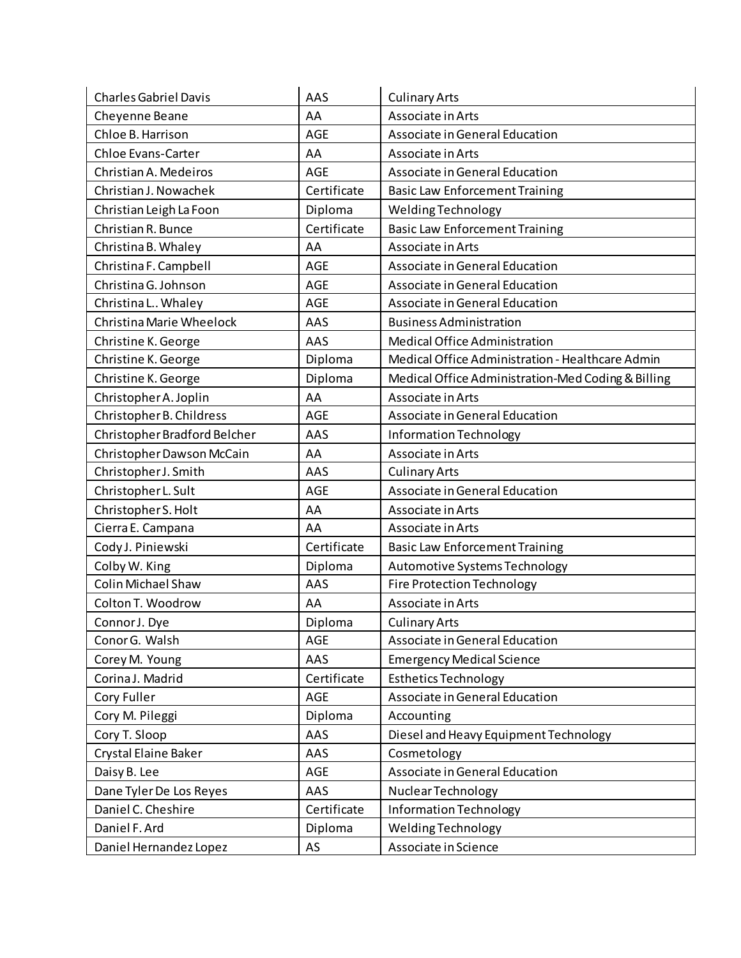| <b>Charles Gabriel Davis</b> | AAS         | <b>Culinary Arts</b>                               |
|------------------------------|-------------|----------------------------------------------------|
| Cheyenne Beane               | AA          | Associate in Arts                                  |
| Chloe B. Harrison            | <b>AGE</b>  | Associate in General Education                     |
| <b>Chloe Evans-Carter</b>    | AA          | Associate in Arts                                  |
| Christian A. Medeiros        | <b>AGE</b>  | Associate in General Education                     |
| Christian J. Nowachek        | Certificate | <b>Basic Law Enforcement Training</b>              |
| Christian Leigh La Foon      | Diploma     | Welding Technology                                 |
| Christian R. Bunce           | Certificate | <b>Basic Law Enforcement Training</b>              |
| Christina B. Whaley          | AA          | Associate in Arts                                  |
| Christina F. Campbell        | <b>AGE</b>  | Associate in General Education                     |
| Christina G. Johnson         | <b>AGE</b>  | Associate in General Education                     |
| Christina L Whaley           | <b>AGE</b>  | Associate in General Education                     |
| Christina Marie Wheelock     | AAS         | <b>Business Administration</b>                     |
| Christine K. George          | AAS         | Medical Office Administration                      |
| Christine K. George          | Diploma     | Medical Office Administration - Healthcare Admin   |
| Christine K. George          | Diploma     | Medical Office Administration-Med Coding & Billing |
| Christopher A. Joplin        | AA          | Associate in Arts                                  |
| Christopher B. Childress     | AGE         | Associate in General Education                     |
| Christopher Bradford Belcher | AAS         | Information Technology                             |
| Christopher Dawson McCain    | AA          | Associate in Arts                                  |
| Christopher J. Smith         | AAS         | <b>Culinary Arts</b>                               |
| Christopher L. Sult          | <b>AGE</b>  | Associate in General Education                     |
| Christopher S. Holt          | AA          | Associate in Arts                                  |
| Cierra E. Campana            | AA          | Associate in Arts                                  |
| Cody J. Piniewski            | Certificate | <b>Basic Law Enforcement Training</b>              |
| Colby W. King                | Diploma     | Automotive Systems Technology                      |
| Colin Michael Shaw           | AAS         | <b>Fire Protection Technology</b>                  |
| Colton T. Woodrow            | AA          | Associate in Arts                                  |
| Connor J. Dye                | Diploma     | <b>Culinary Arts</b>                               |
| Conor G. Walsh               | AGE         | Associate in General Education                     |
| Corey M. Young               | AAS         | <b>Emergency Medical Science</b>                   |
| Corina J. Madrid             | Certificate | <b>Esthetics Technology</b>                        |
| Cory Fuller                  | AGE         | Associate in General Education                     |
| Cory M. Pileggi              | Diploma     | Accounting                                         |
| Cory T. Sloop                | AAS         | Diesel and Heavy Equipment Technology              |
| Crystal Elaine Baker         | AAS         | Cosmetology                                        |
| Daisy B. Lee                 | AGE         | Associate in General Education                     |
| Dane Tyler De Los Reyes      | AAS         | Nuclear Technology                                 |
| Daniel C. Cheshire           | Certificate | Information Technology                             |
| Daniel F. Ard                | Diploma     | Welding Technology                                 |
| Daniel Hernandez Lopez       | AS          | Associate in Science                               |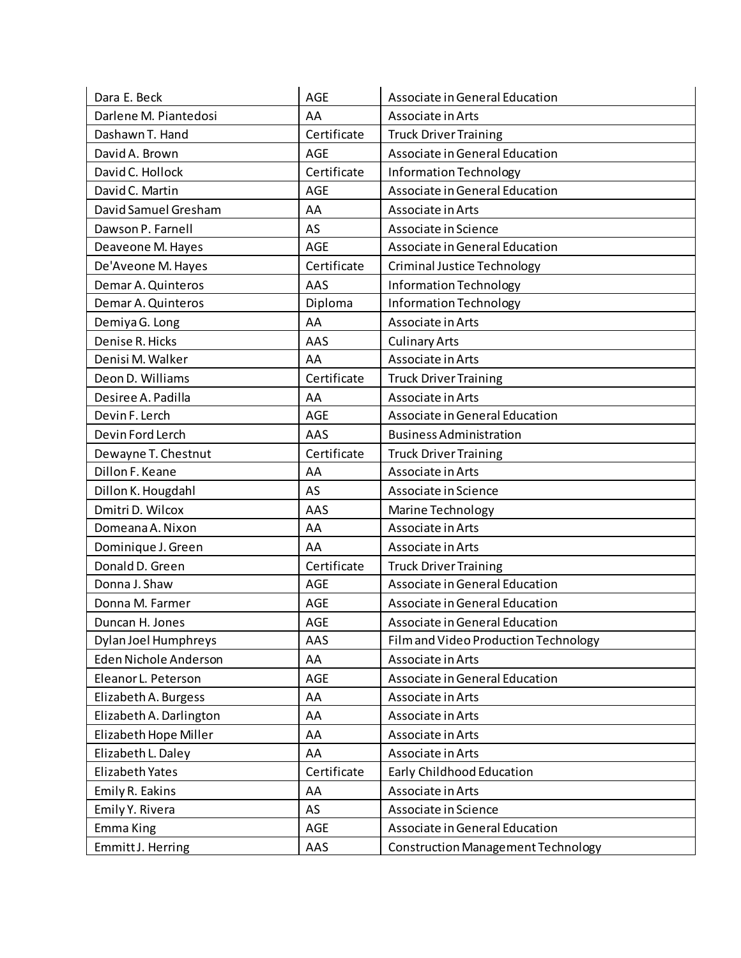| Dara E. Beck            | AGE         | Associate in General Education            |
|-------------------------|-------------|-------------------------------------------|
| Darlene M. Piantedosi   | AA          | Associate in Arts                         |
| Dashawn T. Hand         | Certificate | <b>Truck Driver Training</b>              |
| David A. Brown          | <b>AGE</b>  | Associate in General Education            |
| David C. Hollock        | Certificate | Information Technology                    |
| David C. Martin         | AGE         | Associate in General Education            |
| David Samuel Gresham    | AA          | Associate in Arts                         |
| Dawson P. Farnell       | AS          | Associate in Science                      |
| Deaveone M. Hayes       | AGE         | Associate in General Education            |
| De'Aveone M. Hayes      | Certificate | <b>Criminal Justice Technology</b>        |
| Demar A. Quinteros      | AAS         | Information Technology                    |
| Demar A. Quinteros      | Diploma     | Information Technology                    |
| Demiya G. Long          | AA          | Associate in Arts                         |
| Denise R. Hicks         | AAS         | <b>Culinary Arts</b>                      |
| Denisi M. Walker        | AA          | Associate in Arts                         |
| Deon D. Williams        | Certificate | <b>Truck Driver Training</b>              |
| Desiree A. Padilla      | AA          | Associate in Arts                         |
| Devin F. Lerch          | <b>AGE</b>  | Associate in General Education            |
| Devin Ford Lerch        | AAS         | <b>Business Administration</b>            |
| Dewayne T. Chestnut     | Certificate | <b>Truck Driver Training</b>              |
| Dillon F. Keane         | AA          | Associate in Arts                         |
| Dillon K. Hougdahl      | AS          | Associate in Science                      |
| Dmitri D. Wilcox        | AAS         | Marine Technology                         |
| Domeana A. Nixon        | AA          | Associate in Arts                         |
| Dominique J. Green      | AA          | Associate in Arts                         |
| Donald D. Green         | Certificate | <b>Truck Driver Training</b>              |
| Donna J. Shaw           | AGE         | Associate in General Education            |
| Donna M. Farmer         | <b>AGE</b>  | Associate in General Education            |
| Duncan H. Jones         | <b>AGE</b>  | Associate in General Education            |
| Dylan Joel Humphreys    | AAS         | Film and Video Production Technology      |
| Eden Nichole Anderson   | AA          | Associate in Arts                         |
| Eleanor L. Peterson     | AGE         | Associate in General Education            |
| Elizabeth A. Burgess    | AA          | Associate in Arts                         |
| Elizabeth A. Darlington | AA          | Associate in Arts                         |
| Elizabeth Hope Miller   | AA          | Associate in Arts                         |
| Elizabeth L. Daley      | AA          | Associate in Arts                         |
| Elizabeth Yates         | Certificate | Early Childhood Education                 |
| Emily R. Eakins         | AA          | Associate in Arts                         |
| Emily Y. Rivera         | AS          | Associate in Science                      |
| Emma King               | AGE         | Associate in General Education            |
| Emmitt J. Herring       | AAS         | <b>Construction Management Technology</b> |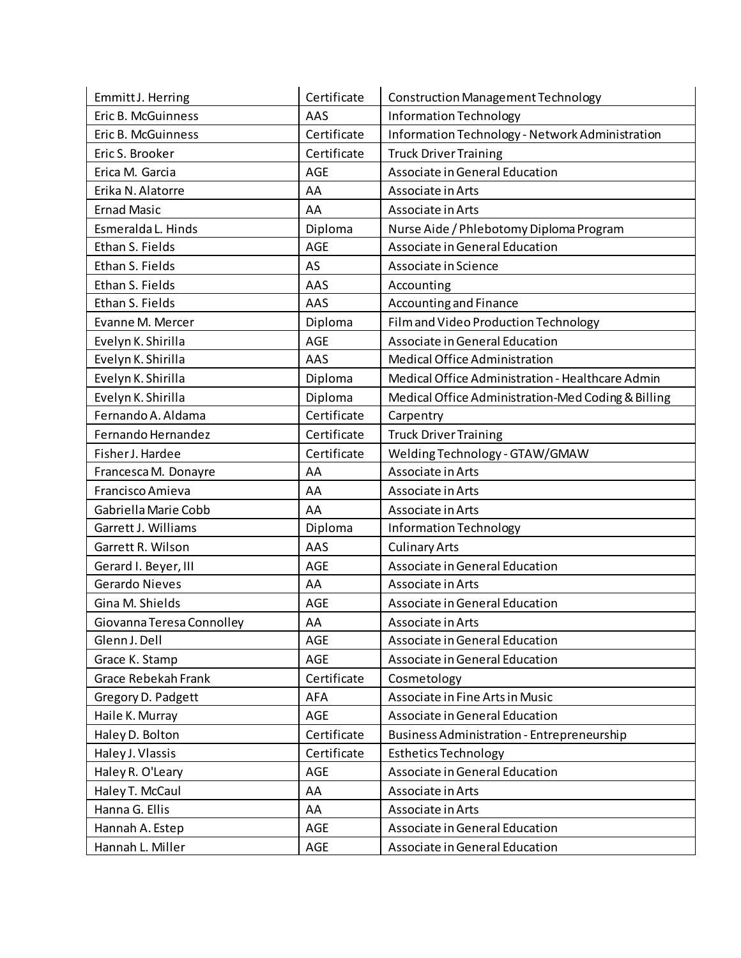| Emmitt J. Herring         | Certificate | <b>Construction Management Technology</b>          |
|---------------------------|-------------|----------------------------------------------------|
| Eric B. McGuinness        | AAS         | Information Technology                             |
| Eric B. McGuinness        | Certificate | Information Technology - Network Administration    |
| Eric S. Brooker           | Certificate | <b>Truck Driver Training</b>                       |
| Erica M. Garcia           | AGE         | Associate in General Education                     |
| Erika N. Alatorre         | AA          | Associate in Arts                                  |
| <b>Ernad Masic</b>        | AA          | Associate in Arts                                  |
| Esmeralda L. Hinds        | Diploma     | Nurse Aide / Phlebotomy Diploma Program            |
| Ethan S. Fields           | <b>AGE</b>  | Associate in General Education                     |
| Ethan S. Fields           | AS          | Associate in Science                               |
| Ethan S. Fields           | AAS         | Accounting                                         |
| Ethan S. Fields           | AAS         | Accounting and Finance                             |
| Evanne M. Mercer          | Diploma     | Film and Video Production Technology               |
| Evelyn K. Shirilla        | AGE         | Associate in General Education                     |
| Evelyn K. Shirilla        | AAS         | Medical Office Administration                      |
| Evelyn K. Shirilla        | Diploma     | Medical Office Administration - Healthcare Admin   |
| Evelyn K. Shirilla        | Diploma     | Medical Office Administration-Med Coding & Billing |
| Fernando A. Aldama        | Certificate | Carpentry                                          |
| Fernando Hernandez        | Certificate | <b>Truck Driver Training</b>                       |
| Fisher J. Hardee          | Certificate | Welding Technology - GTAW/GMAW                     |
| Francesca M. Donayre      | AA          | Associate in Arts                                  |
| Francisco Amieva          | AA          | Associate in Arts                                  |
| Gabriella Marie Cobb      | AA          | Associate in Arts                                  |
| Garrett J. Williams       | Diploma     | Information Technology                             |
| Garrett R. Wilson         | AAS         | <b>Culinary Arts</b>                               |
| Gerard I. Beyer, III      | AGE         | Associate in General Education                     |
| <b>Gerardo Nieves</b>     | AA          | Associate in Arts                                  |
| Gina M. Shields           | <b>AGE</b>  | Associate in General Education                     |
| Giovanna Teresa Connolley | AA          | Associate in Arts                                  |
| Glenn J. Dell             | AGE         | Associate in General Education                     |
| Grace K. Stamp            | AGE         | Associate in General Education                     |
| Grace Rebekah Frank       | Certificate | Cosmetology                                        |
| Gregory D. Padgett        | AFA         | Associate in Fine Arts in Music                    |
| Haile K. Murray           | AGE         | Associate in General Education                     |
| Haley D. Bolton           | Certificate | <b>Business Administration - Entrepreneurship</b>  |
| Haley J. Vlassis          | Certificate | <b>Esthetics Technology</b>                        |
| Haley R. O'Leary          | AGE         | Associate in General Education                     |
| Haley T. McCaul           | AA          | Associate in Arts                                  |
| Hanna G. Ellis            | AA          | Associate in Arts                                  |
| Hannah A. Estep           | <b>AGE</b>  | Associate in General Education                     |
| Hannah L. Miller          | AGE         | Associate in General Education                     |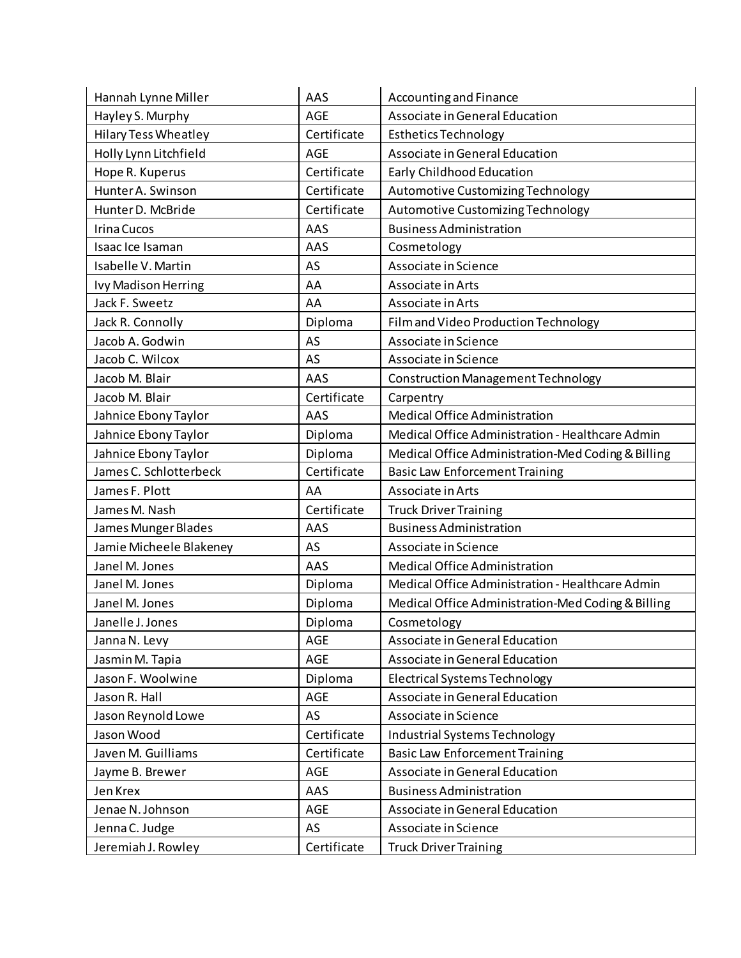| Hannah Lynne Miller         | AAS         | Accounting and Finance                             |
|-----------------------------|-------------|----------------------------------------------------|
| Hayley S. Murphy            | <b>AGE</b>  | Associate in General Education                     |
| <b>Hilary Tess Wheatley</b> | Certificate | <b>Esthetics Technology</b>                        |
| Holly Lynn Litchfield       | <b>AGE</b>  | Associate in General Education                     |
| Hope R. Kuperus             | Certificate | Early Childhood Education                          |
| Hunter A. Swinson           | Certificate | Automotive Customizing Technology                  |
| Hunter D. McBride           | Certificate | Automotive Customizing Technology                  |
| Irina Cucos                 | AAS         | <b>Business Administration</b>                     |
| Isaac Ice Isaman            | AAS         | Cosmetology                                        |
| Isabelle V. Martin          | AS          | Associate in Science                               |
| Ivy Madison Herring         | AA          | Associate in Arts                                  |
| Jack F. Sweetz              | AA          | Associate in Arts                                  |
| Jack R. Connolly            | Diploma     | Film and Video Production Technology               |
| Jacob A. Godwin             | AS          | Associate in Science                               |
| Jacob C. Wilcox             | AS          | Associate in Science                               |
| Jacob M. Blair              | AAS         | <b>Construction Management Technology</b>          |
| Jacob M. Blair              | Certificate | Carpentry                                          |
| Jahnice Ebony Taylor        | AAS         | Medical Office Administration                      |
| Jahnice Ebony Taylor        | Diploma     | Medical Office Administration - Healthcare Admin   |
| Jahnice Ebony Taylor        | Diploma     | Medical Office Administration-Med Coding & Billing |
| James C. Schlotterbeck      | Certificate | <b>Basic Law Enforcement Training</b>              |
| James F. Plott              | AA          | Associate in Arts                                  |
| James M. Nash               | Certificate | <b>Truck Driver Training</b>                       |
| James Munger Blades         | AAS         | <b>Business Administration</b>                     |
| Jamie Micheele Blakeney     | AS          | Associate in Science                               |
| Janel M. Jones              | AAS         | <b>Medical Office Administration</b>               |
| Janel M. Jones              | Diploma     | Medical Office Administration - Healthcare Admin   |
| Janel M. Jones              | Diploma     | Medical Office Administration-Med Coding & Billing |
| Janelle J. Jones            | Diploma     | Cosmetology                                        |
| Janna N. Levy               | AGE         | Associate in General Education                     |
| Jasmin M. Tapia             | AGE         | Associate in General Education                     |
| Jason F. Woolwine           | Diploma     | <b>Electrical Systems Technology</b>               |
| Jason R. Hall               | AGE         | Associate in General Education                     |
| Jason Reynold Lowe          | AS          | Associate in Science                               |
| Jason Wood                  | Certificate | Industrial Systems Technology                      |
| Javen M. Guilliams          | Certificate | <b>Basic Law Enforcement Training</b>              |
| Jayme B. Brewer             | AGE         | Associate in General Education                     |
| Jen Krex                    | AAS         | <b>Business Administration</b>                     |
| Jenae N. Johnson            | AGE         | Associate in General Education                     |
| Jenna C. Judge              | AS          | Associate in Science                               |
| Jeremiah J. Rowley          | Certificate | <b>Truck Driver Training</b>                       |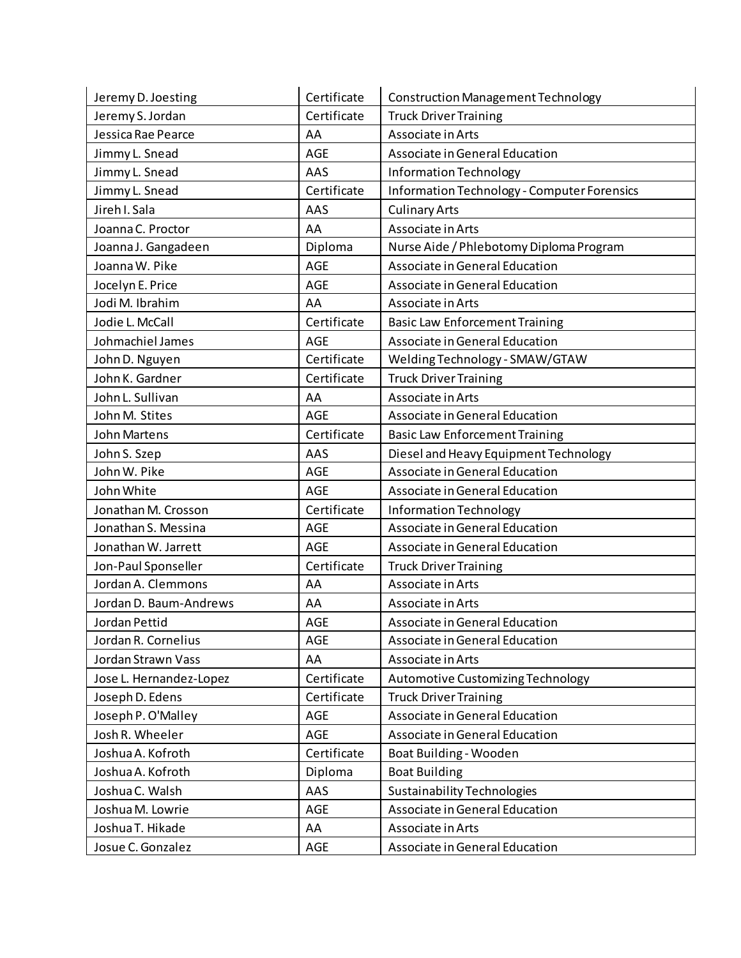| Jeremy D. Joesting      | Certificate | <b>Construction Management Technology</b>          |
|-------------------------|-------------|----------------------------------------------------|
| Jeremy S. Jordan        | Certificate | <b>Truck Driver Training</b>                       |
| Jessica Rae Pearce      | AA          | Associate in Arts                                  |
| Jimmy L. Snead          | AGE         | Associate in General Education                     |
| Jimmy L. Snead          | AAS         | <b>Information Technology</b>                      |
| Jimmy L. Snead          | Certificate | <b>Information Technology - Computer Forensics</b> |
| Jireh I. Sala           | AAS         | <b>Culinary Arts</b>                               |
| Joanna C. Proctor       | AA          | Associate in Arts                                  |
| Joanna J. Gangadeen     | Diploma     | Nurse Aide / Phlebotomy Diploma Program            |
| Joanna W. Pike          | <b>AGE</b>  | Associate in General Education                     |
| Jocelyn E. Price        | <b>AGE</b>  | Associate in General Education                     |
| Jodi M. Ibrahim         | AA          | Associate in Arts                                  |
| Jodie L. McCall         | Certificate | <b>Basic Law Enforcement Training</b>              |
| Johmachiel James        | AGE         | Associate in General Education                     |
| John D. Nguyen          | Certificate | Welding Technology - SMAW/GTAW                     |
| John K. Gardner         | Certificate | <b>Truck Driver Training</b>                       |
| John L. Sullivan        | AA          | Associate in Arts                                  |
| John M. Stites          | AGE         | Associate in General Education                     |
| John Martens            | Certificate | <b>Basic Law Enforcement Training</b>              |
| John S. Szep            | AAS         | Diesel and Heavy Equipment Technology              |
| John W. Pike            | <b>AGE</b>  | Associate in General Education                     |
| John White              | <b>AGE</b>  | Associate in General Education                     |
| Jonathan M. Crosson     | Certificate | Information Technology                             |
| Jonathan S. Messina     | <b>AGE</b>  | Associate in General Education                     |
| Jonathan W. Jarrett     | <b>AGE</b>  | Associate in General Education                     |
| Jon-Paul Sponseller     | Certificate | <b>Truck Driver Training</b>                       |
| Jordan A. Clemmons      | AA          | Associate in Arts                                  |
| Jordan D. Baum-Andrews  | AA          | Associate in Arts                                  |
| Jordan Pettid           | AGE         | Associate in General Education                     |
| Jordan R. Cornelius     | AGE         | Associate in General Education                     |
| Jordan Strawn Vass      | AA          | Associate in Arts                                  |
| Jose L. Hernandez-Lopez | Certificate | Automotive Customizing Technology                  |
| Joseph D. Edens         | Certificate | <b>Truck Driver Training</b>                       |
| Joseph P. O'Malley      | AGE         | Associate in General Education                     |
| Josh R. Wheeler         | AGE         | Associate in General Education                     |
| Joshua A. Kofroth       | Certificate | Boat Building - Wooden                             |
| Joshua A. Kofroth       | Diploma     | <b>Boat Building</b>                               |
| Joshua C. Walsh         | AAS         | <b>Sustainability Technologies</b>                 |
| Joshua M. Lowrie        | <b>AGE</b>  | Associate in General Education                     |
| Joshua T. Hikade        | AA          | Associate in Arts                                  |
| Josue C. Gonzalez       | AGE         | Associate in General Education                     |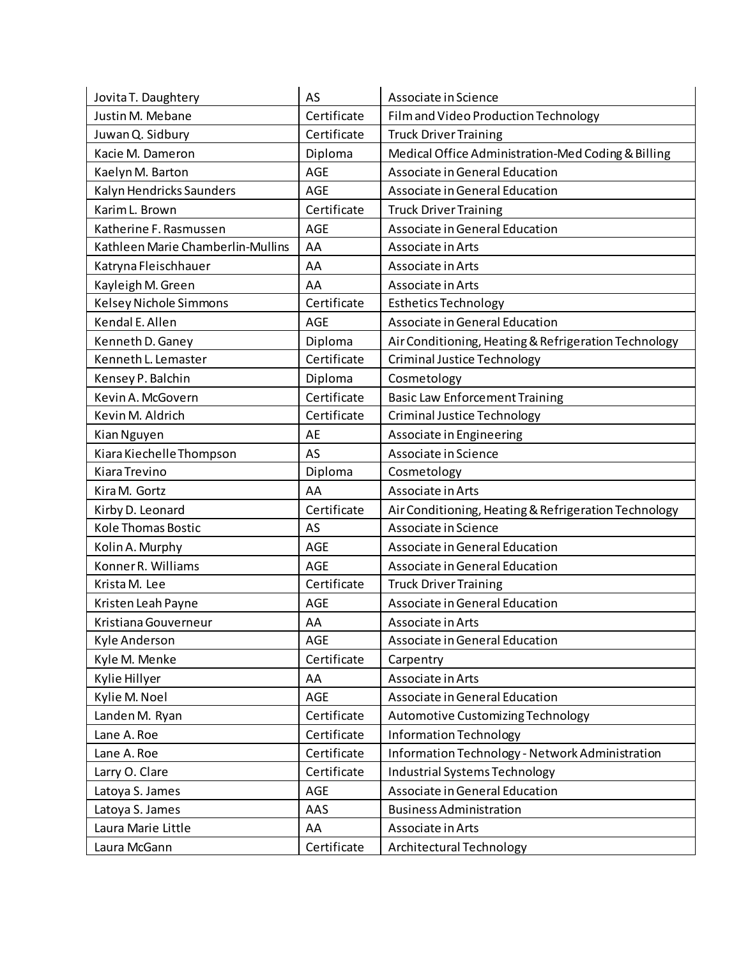| Jovita T. Daughtery               | AS          | Associate in Science                                 |
|-----------------------------------|-------------|------------------------------------------------------|
| Justin M. Mebane                  | Certificate | Film and Video Production Technology                 |
| Juwan Q. Sidbury                  | Certificate | <b>Truck Driver Training</b>                         |
| Kacie M. Dameron                  | Diploma     | Medical Office Administration-Med Coding & Billing   |
| Kaelyn M. Barton                  | AGE         | Associate in General Education                       |
| Kalyn Hendricks Saunders          | <b>AGE</b>  | Associate in General Education                       |
| Karim L. Brown                    | Certificate | <b>Truck Driver Training</b>                         |
| Katherine F. Rasmussen            | <b>AGE</b>  | Associate in General Education                       |
| Kathleen Marie Chamberlin-Mullins | AA          | Associate in Arts                                    |
| Katryna Fleischhauer              | AA          | Associate in Arts                                    |
| Kayleigh M. Green                 | AA          | Associate in Arts                                    |
| Kelsey Nichole Simmons            | Certificate | <b>Esthetics Technology</b>                          |
| Kendal E. Allen                   | <b>AGE</b>  | Associate in General Education                       |
| Kenneth D. Ganey                  | Diploma     | Air Conditioning, Heating & Refrigeration Technology |
| Kenneth L. Lemaster               | Certificate | Criminal Justice Technology                          |
| Kensey P. Balchin                 | Diploma     | Cosmetology                                          |
| Kevin A. McGovern                 | Certificate | <b>Basic Law Enforcement Training</b>                |
| Kevin M. Aldrich                  | Certificate | Criminal Justice Technology                          |
| Kian Nguyen                       | AE          | Associate in Engineering                             |
| Kiara Kiechelle Thompson          | AS          | Associate in Science                                 |
| Kiara Trevino                     | Diploma     | Cosmetology                                          |
| Kira M. Gortz                     | AA          | Associate in Arts                                    |
| Kirby D. Leonard                  | Certificate | Air Conditioning, Heating & Refrigeration Technology |
| <b>Kole Thomas Bostic</b>         | AS          | Associate in Science                                 |
| Kolin A. Murphy                   | <b>AGE</b>  | Associate in General Education                       |
| Konner R. Williams                | AGE         | Associate in General Education                       |
| Krista M. Lee                     | Certificate | <b>Truck Driver Training</b>                         |
| Kristen Leah Payne                | AGE         | Associate in General Education                       |
| Kristiana Gouverneur              | AA          | Associate in Arts                                    |
| Kyle Anderson                     | AGE         | Associate in General Education                       |
| Kyle M. Menke                     | Certificate | Carpentry                                            |
| Kylie Hillyer                     | AA          | Associate in Arts                                    |
| Kylie M. Noel                     | AGE         | Associate in General Education                       |
| Landen M. Ryan                    | Certificate | Automotive Customizing Technology                    |
| Lane A. Roe                       | Certificate | Information Technology                               |
| Lane A. Roe                       | Certificate | Information Technology - Network Administration      |
| Larry O. Clare                    | Certificate | Industrial Systems Technology                        |
| Latoya S. James                   | AGE         | Associate in General Education                       |
| Latoya S. James                   | AAS         | <b>Business Administration</b>                       |
| Laura Marie Little                | AA          | Associate in Arts                                    |
| Laura McGann                      | Certificate | Architectural Technology                             |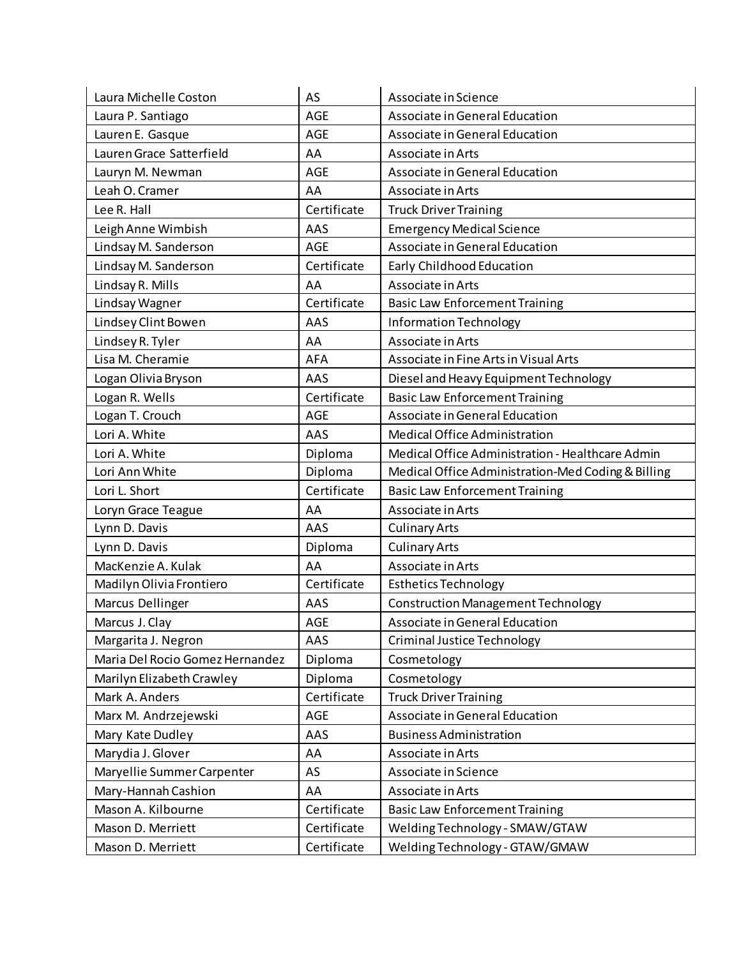| Laura Michelle Coston           | AS          | Associate in Science                               |
|---------------------------------|-------------|----------------------------------------------------|
| Laura P. Santiago               | AGE         | Associate in General Education                     |
| Lauren E. Gasque                | <b>AGE</b>  | Associate in General Education                     |
| Lauren Grace Satterfield        | AA          | Associate in Arts                                  |
| Lauryn M. Newman                | AGE         | Associate in General Education                     |
| Leah O. Cramer                  | AA          | Associate in Arts                                  |
| Lee R. Hall                     | Certificate | <b>Truck Driver Training</b>                       |
| Leigh Anne Wimbish              | AAS         | <b>Emergency Medical Science</b>                   |
| Lindsay M. Sanderson            | <b>AGE</b>  | Associate in General Education                     |
| Lindsay M. Sanderson            | Certificate | Early Childhood Education                          |
| Lindsay R. Mills                | AA          | Associate in Arts                                  |
| Lindsay Wagner                  | Certificate | <b>Basic Law Enforcement Training</b>              |
| Lindsey Clint Bowen             | AAS         | Information Technology                             |
| Lindsey R. Tyler                | AA          | Associate in Arts                                  |
| Lisa M. Cheramie                | <b>AFA</b>  | Associate in Fine Arts in Visual Arts              |
| Logan Olivia Bryson             | AAS         | Diesel and Heavy Equipment Technology              |
| Logan R. Wells                  | Certificate | <b>Basic Law Enforcement Training</b>              |
| Logan T. Crouch                 | <b>AGE</b>  | Associate in General Education                     |
| Lori A. White                   | AAS         | Medical Office Administration                      |
| Lori A. White                   | Diploma     | Medical Office Administration - Healthcare Admin   |
| Lori Ann White                  | Diploma     | Medical Office Administration-Med Coding & Billing |
| Lori L. Short                   | Certificate | <b>Basic Law Enforcement Training</b>              |
| Loryn Grace Teague              | AA          | Associate in Arts                                  |
| Lynn D. Davis                   | AAS         | <b>Culinary Arts</b>                               |
| Lynn D. Davis                   | Diploma     | <b>Culinary Arts</b>                               |
| MacKenzie A. Kulak              | AA          | Associate in Arts                                  |
| Madilyn Olivia Frontiero        | Certificate | <b>Esthetics Technology</b>                        |
| Marcus Dellinger                | AAS         | <b>Construction Management Technology</b>          |
| Marcus J. Clay                  | <b>AGE</b>  | Associate in General Education                     |
| Margarita J. Negron             | AAS         | Criminal Justice Technology                        |
| Maria Del Rocio Gomez Hernandez | Diploma     | Cosmetology                                        |
| Marilyn Elizabeth Crawley       | Diploma     | Cosmetology                                        |
| Mark A. Anders                  | Certificate | <b>Truck Driver Training</b>                       |
| Marx M. Andrzejewski            | AGE         | Associate in General Education                     |
| Mary Kate Dudley                | AAS         | <b>Business Administration</b>                     |
| Marydia J. Glover               | AA          | Associate in Arts                                  |
| Maryellie Summer Carpenter      | AS          | Associate in Science                               |
| Mary-Hannah Cashion             | AA          | Associate in Arts                                  |
| Mason A. Kilbourne              | Certificate | <b>Basic Law Enforcement Training</b>              |
| Mason D. Merriett               | Certificate | Welding Technology - SMAW/GTAW                     |
| Mason D. Merriett               | Certificate | Welding Technology - GTAW/GMAW                     |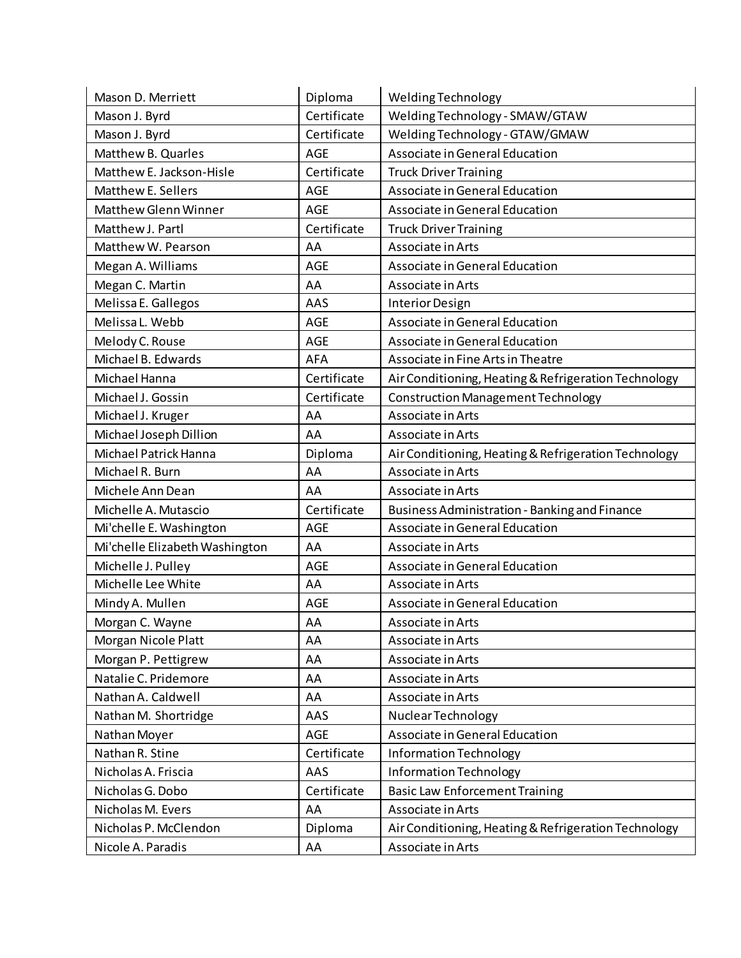| Mason D. Merriett              | Diploma     | Welding Technology                                   |
|--------------------------------|-------------|------------------------------------------------------|
| Mason J. Byrd                  | Certificate | Welding Technology - SMAW/GTAW                       |
| Mason J. Byrd                  | Certificate | Welding Technology - GTAW/GMAW                       |
| Matthew B. Quarles             | <b>AGE</b>  | Associate in General Education                       |
| Matthew E. Jackson-Hisle       | Certificate | <b>Truck Driver Training</b>                         |
| Matthew E. Sellers             | <b>AGE</b>  | Associate in General Education                       |
| <b>Matthew Glenn Winner</b>    | <b>AGE</b>  | Associate in General Education                       |
| Matthew J. Partl               | Certificate | <b>Truck Driver Training</b>                         |
| Matthew W. Pearson             | AA          | Associate in Arts                                    |
| Megan A. Williams              | AGE         | Associate in General Education                       |
| Megan C. Martin                | AA          | Associate in Arts                                    |
| Melissa E. Gallegos            | AAS         | Interior Design                                      |
| Melissa L. Webb                | <b>AGE</b>  | Associate in General Education                       |
| Melody C. Rouse                | AGE         | Associate in General Education                       |
| Michael B. Edwards             | AFA         | Associate in Fine Arts in Theatre                    |
| Michael Hanna                  | Certificate | Air Conditioning, Heating & Refrigeration Technology |
| Michael J. Gossin              | Certificate | <b>Construction Management Technology</b>            |
| Michael J. Kruger              | AA          | Associate in Arts                                    |
| Michael Joseph Dillion         | AA          | Associate in Arts                                    |
| Michael Patrick Hanna          | Diploma     | Air Conditioning, Heating & Refrigeration Technology |
| Michael R. Burn                | AA          | Associate in Arts                                    |
| Michele Ann Dean               | AA          | Associate in Arts                                    |
| Michelle A. Mutascio           | Certificate | Business Administration - Banking and Finance        |
| Mi'chelle E. Washington        | AGE         | Associate in General Education                       |
| Mi'chelle Elizabeth Washington | AA          | Associate in Arts                                    |
| Michelle J. Pulley             | AGE         | Associate in General Education                       |
| Michelle Lee White             | AA          | Associate in Arts                                    |
| Mindy A. Mullen                | <b>AGE</b>  | Associate in General Education                       |
| Morgan C. Wayne                | AA          | Associate in Arts                                    |
| Morgan Nicole Platt            | AA          | Associate in Arts                                    |
| Morgan P. Pettigrew            | AA          | Associate in Arts                                    |
| Natalie C. Pridemore           | AA          | Associate in Arts                                    |
| Nathan A. Caldwell             | AA          | Associate in Arts                                    |
| Nathan M. Shortridge           | AAS         | Nuclear Technology                                   |
| Nathan Moyer                   | <b>AGE</b>  | Associate in General Education                       |
| Nathan R. Stine                | Certificate | <b>Information Technology</b>                        |
| Nicholas A. Friscia            | AAS         | Information Technology                               |
| Nicholas G. Dobo               | Certificate | <b>Basic Law Enforcement Training</b>                |
| Nicholas M. Evers              | AA          | Associate in Arts                                    |
| Nicholas P. McClendon          | Diploma     | Air Conditioning, Heating & Refrigeration Technology |
| Nicole A. Paradis              | AA          | Associate in Arts                                    |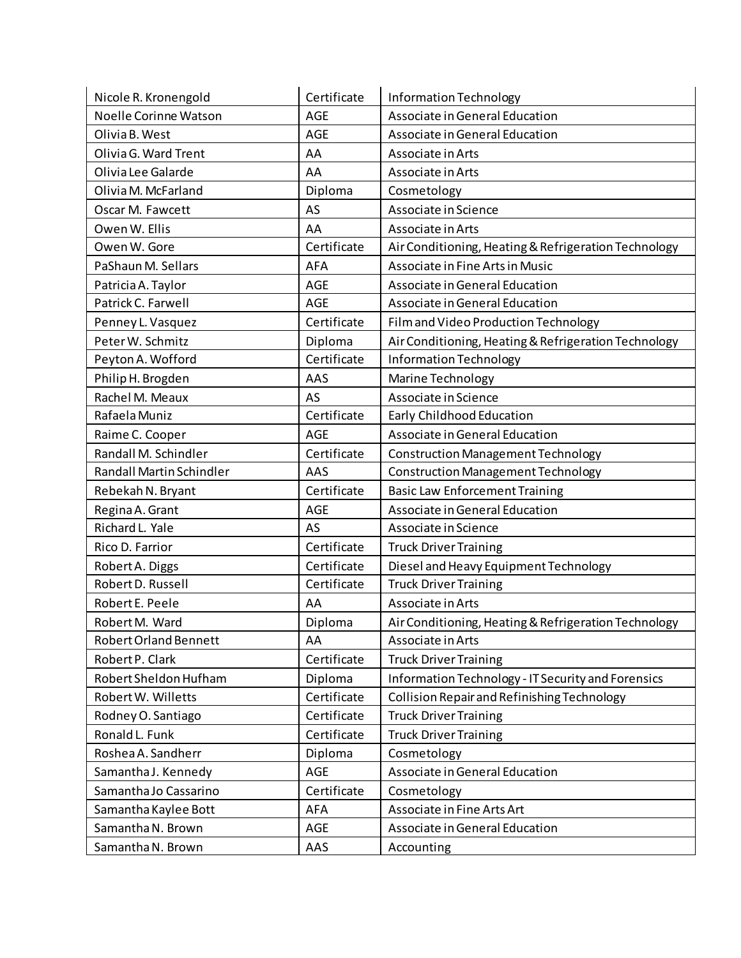| Nicole R. Kronengold         | Certificate | Information Technology                               |
|------------------------------|-------------|------------------------------------------------------|
| Noelle Corinne Watson        | <b>AGE</b>  | Associate in General Education                       |
| Olivia B. West               | <b>AGE</b>  | Associate in General Education                       |
| Olivia G. Ward Trent         | AA          | Associate in Arts                                    |
| Olivia Lee Galarde           | AA          | Associate in Arts                                    |
| Olivia M. McFarland          | Diploma     | Cosmetology                                          |
| Oscar M. Fawcett             | AS          | Associate in Science                                 |
| Owen W. Ellis                | AA          | Associate in Arts                                    |
| Owen W. Gore                 | Certificate | Air Conditioning, Heating & Refrigeration Technology |
| PaShaun M. Sellars           | AFA         | Associate in Fine Arts in Music                      |
| Patricia A. Taylor           | <b>AGE</b>  | Associate in General Education                       |
| Patrick C. Farwell           | <b>AGE</b>  | Associate in General Education                       |
| Penney L. Vasquez            | Certificate | Film and Video Production Technology                 |
| Peter W. Schmitz             | Diploma     | Air Conditioning, Heating & Refrigeration Technology |
| Peyton A. Wofford            | Certificate | Information Technology                               |
| Philip H. Brogden            | AAS         | Marine Technology                                    |
| Rachel M. Meaux              | AS          | Associate in Science                                 |
| Rafaela Muniz                | Certificate | Early Childhood Education                            |
| Raime C. Cooper              | <b>AGE</b>  | Associate in General Education                       |
| Randall M. Schindler         | Certificate | <b>Construction Management Technology</b>            |
| Randall Martin Schindler     | AAS         | <b>Construction Management Technology</b>            |
| Rebekah N. Bryant            | Certificate | <b>Basic Law Enforcement Training</b>                |
| Regina A. Grant              | <b>AGE</b>  | Associate in General Education                       |
| Richard L. Yale              | AS          | Associate in Science                                 |
| Rico D. Farrior              | Certificate | <b>Truck Driver Training</b>                         |
| Robert A. Diggs              | Certificate | Diesel and Heavy Equipment Technology                |
| Robert D. Russell            | Certificate | <b>Truck Driver Training</b>                         |
| Robert E. Peele              | AA          | Associate in Arts                                    |
| Robert M. Ward               | Diploma     | Air Conditioning, Heating & Refrigeration Technology |
| <b>Robert Orland Bennett</b> | AA          | Associate in Arts                                    |
| Robert P. Clark              | Certificate | <b>Truck Driver Training</b>                         |
| Robert Sheldon Hufham        | Diploma     | Information Technology - IT Security and Forensics   |
| Robert W. Willetts           | Certificate | Collision Repair and Refinishing Technology          |
| Rodney O. Santiago           | Certificate | <b>Truck Driver Training</b>                         |
| Ronald L. Funk               | Certificate | <b>Truck Driver Training</b>                         |
| Roshea A. Sandherr           | Diploma     | Cosmetology                                          |
| Samantha J. Kennedy          | <b>AGE</b>  | Associate in General Education                       |
| Samantha Jo Cassarino        | Certificate | Cosmetology                                          |
| Samantha Kaylee Bott         | <b>AFA</b>  | Associate in Fine Arts Art                           |
| Samantha N. Brown            | AGE         | Associate in General Education                       |
| Samantha N. Brown            | AAS         | Accounting                                           |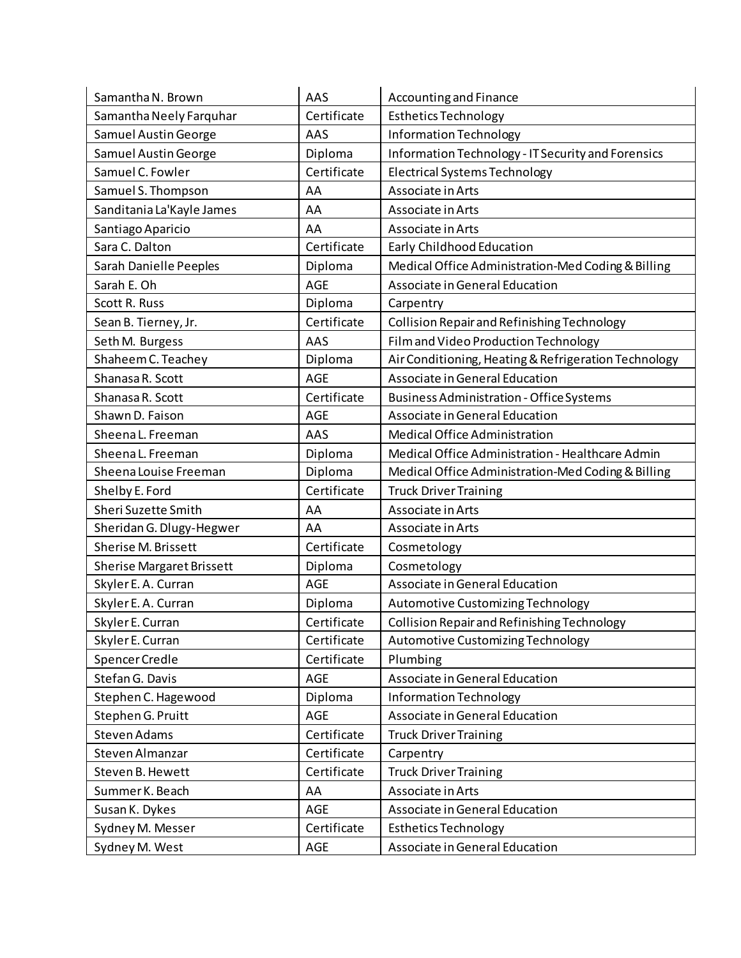| Samantha N. Brown                | AAS         | Accounting and Finance                               |
|----------------------------------|-------------|------------------------------------------------------|
| Samantha Neely Farquhar          | Certificate | <b>Esthetics Technology</b>                          |
| Samuel Austin George             | AAS         | Information Technology                               |
| <b>Samuel Austin George</b>      | Diploma     | Information Technology - IT Security and Forensics   |
| Samuel C. Fowler                 | Certificate | <b>Electrical Systems Technology</b>                 |
| Samuel S. Thompson               | AA          | Associate in Arts                                    |
| Sanditania La'Kayle James        | AA          | Associate in Arts                                    |
| Santiago Aparicio                | AA          | Associate in Arts                                    |
| Sara C. Dalton                   | Certificate | Early Childhood Education                            |
| Sarah Danielle Peeples           | Diploma     | Medical Office Administration-Med Coding & Billing   |
| Sarah E. Oh                      | <b>AGE</b>  | Associate in General Education                       |
| Scott R. Russ                    | Diploma     | Carpentry                                            |
| Sean B. Tierney, Jr.             | Certificate | Collision Repair and Refinishing Technology          |
| Seth M. Burgess                  | AAS         | Film and Video Production Technology                 |
| Shaheem C. Teachey               | Diploma     | Air Conditioning, Heating & Refrigeration Technology |
| Shanasa R. Scott                 | <b>AGE</b>  | Associate in General Education                       |
| Shanasa R. Scott                 | Certificate | <b>Business Administration - Office Systems</b>      |
| Shawn D. Faison                  | AGE         | Associate in General Education                       |
| Sheena L. Freeman                | AAS         | <b>Medical Office Administration</b>                 |
| Sheena L. Freeman                | Diploma     | Medical Office Administration - Healthcare Admin     |
| Sheena Louise Freeman            | Diploma     | Medical Office Administration-Med Coding & Billing   |
| Shelby E. Ford                   | Certificate | <b>Truck Driver Training</b>                         |
| Sheri Suzette Smith              | AA          | Associate in Arts                                    |
| Sheridan G. Dlugy-Hegwer         | AA          | Associate in Arts                                    |
| Sherise M. Brissett              | Certificate | Cosmetology                                          |
| <b>Sherise Margaret Brissett</b> | Diploma     | Cosmetology                                          |
| Skyler E. A. Curran              | <b>AGE</b>  | Associate in General Education                       |
| Skyler E. A. Curran              | Diploma     | Automotive Customizing Technology                    |
| Skyler E. Curran                 | Certificate | Collision Repair and Refinishing Technology          |
| Skyler E. Curran                 | Certificate | Automotive Customizing Technology                    |
| Spencer Credle                   | Certificate | Plumbing                                             |
| Stefan G. Davis                  | AGE         | Associate in General Education                       |
| Stephen C. Hagewood              | Diploma     | Information Technology                               |
| Stephen G. Pruitt                | AGE         | Associate in General Education                       |
| Steven Adams                     | Certificate | <b>Truck Driver Training</b>                         |
| Steven Almanzar                  | Certificate | Carpentry                                            |
| Steven B. Hewett                 | Certificate | <b>Truck Driver Training</b>                         |
| Summer K. Beach                  | AA          | Associate in Arts                                    |
| Susan K. Dykes                   | <b>AGE</b>  | Associate in General Education                       |
| Sydney M. Messer                 | Certificate | <b>Esthetics Technology</b>                          |
| Sydney M. West                   | AGE         | Associate in General Education                       |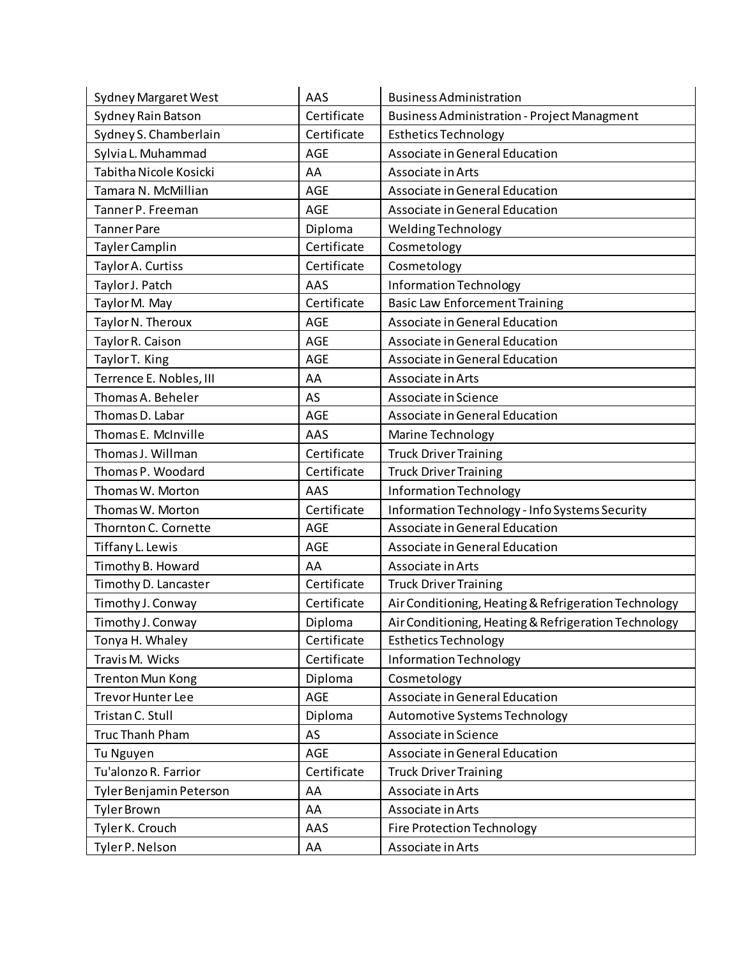| <b>Sydney Margaret West</b> | AAS         | <b>Business Administration</b>                       |
|-----------------------------|-------------|------------------------------------------------------|
| Sydney Rain Batson          | Certificate | <b>Business Administration - Project Managment</b>   |
| Sydney S. Chamberlain       | Certificate | <b>Esthetics Technology</b>                          |
| Sylvia L. Muhammad          | <b>AGE</b>  | Associate in General Education                       |
| Tabitha Nicole Kosicki      | AA          | Associate in Arts                                    |
| Tamara N. McMillian         | AGE         | Associate in General Education                       |
| Tanner P. Freeman           | <b>AGE</b>  | Associate in General Education                       |
| <b>Tanner Pare</b>          | Diploma     | Welding Technology                                   |
| Tayler Camplin              | Certificate | Cosmetology                                          |
| Taylor A. Curtiss           | Certificate | Cosmetology                                          |
| Taylor J. Patch             | AAS         | <b>Information Technology</b>                        |
| Taylor M. May               | Certificate | <b>Basic Law Enforcement Training</b>                |
| Taylor N. Theroux           | <b>AGE</b>  | Associate in General Education                       |
| Taylor R. Caison            | <b>AGE</b>  | Associate in General Education                       |
| Taylor T. King              | AGE         | Associate in General Education                       |
| Terrence E. Nobles, III     | AA          | Associate in Arts                                    |
| Thomas A. Beheler           | AS          | Associate in Science                                 |
| Thomas D. Labar             | AGE         | Associate in General Education                       |
| Thomas E. McInville         | AAS         | Marine Technology                                    |
| Thomas J. Willman           | Certificate | <b>Truck Driver Training</b>                         |
| Thomas P. Woodard           | Certificate | <b>Truck Driver Training</b>                         |
| Thomas W. Morton            | AAS         | Information Technology                               |
| Thomas W. Morton            | Certificate | Information Technology - Info Systems Security       |
| Thornton C. Cornette        | <b>AGE</b>  | Associate in General Education                       |
| Tiffany L. Lewis            | AGE         | Associate in General Education                       |
| Timothy B. Howard           | AA          | Associate in Arts                                    |
| Timothy D. Lancaster        | Certificate | <b>Truck Driver Training</b>                         |
| Timothy J. Conway           | Certificate | Air Conditioning, Heating & Refrigeration Technology |
| Timothy J. Conway           | Diploma     | Air Conditioning, Heating & Refrigeration Technology |
| Tonya H. Whaley             | Certificate | <b>Esthetics Technology</b>                          |
| Travis M. Wicks             | Certificate | <b>Information Technology</b>                        |
| <b>Trenton Mun Kong</b>     | Diploma     | Cosmetology                                          |
| <b>Trevor Hunter Lee</b>    | AGE         | Associate in General Education                       |
| Tristan C. Stull            | Diploma     | Automotive Systems Technology                        |
| <b>Truc Thanh Pham</b>      | AS          | Associate in Science                                 |
| Tu Nguyen                   | AGE         | Associate in General Education                       |
| Tu'alonzo R. Farrior        | Certificate | <b>Truck Driver Training</b>                         |
| Tyler Benjamin Peterson     | AA          | Associate in Arts                                    |
| <b>Tyler Brown</b>          | AA          | Associate in Arts                                    |
| Tyler K. Crouch             | AAS         | <b>Fire Protection Technology</b>                    |
| Tyler P. Nelson             | AA          | Associate in Arts                                    |